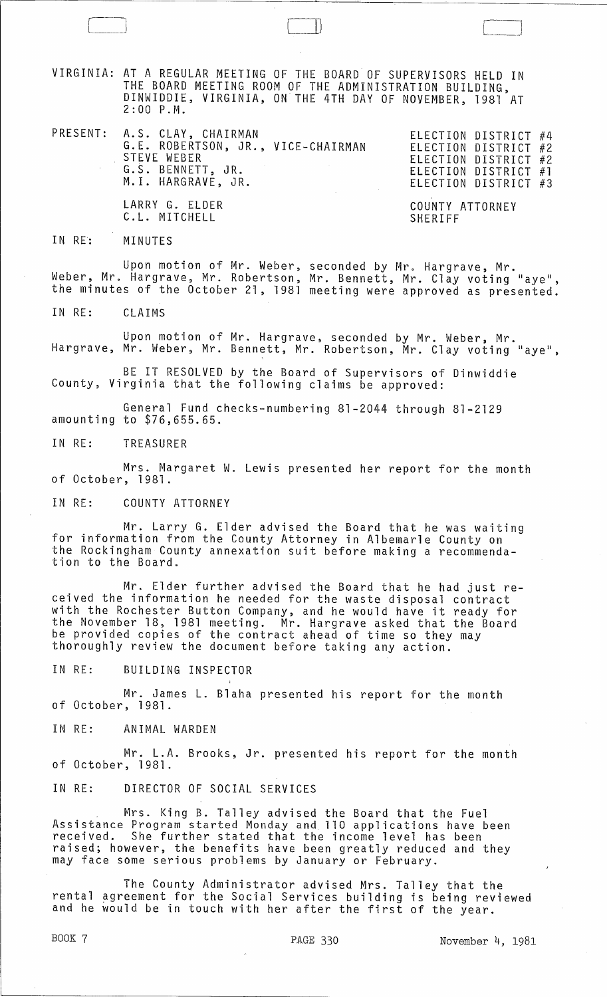VIRGINIA: AT A REGULAR MEETING OF THE BOARD OF SUPERVISORS HELD IN THE BOARD MEETING ROOM OF THE ADMINISTRATION BUILDING, DINWIDDIE, VIRGINIA, ON THE 4TH DAY OF NOVEMBER, 1981 AT 2:00 P.M.

 $\Box$ 

PRESENT: A.S. CLAY, CHAIRMAN WILL BULLECTION DISTRICT #4 G.E. ROBERTSON, JR., VICE-CHAIRMAN STEVE WEBER G.S. BENNETT, JR. M.1. HARGRAVE, JR.

ELECTION DISTRICT #2 ELECTION DISTRICT #2 ELECTION DISTRICT #1 ELECTION DISTRICT #3

LARRY G. ELDER C.L. MITCHELL

COUNTY ATTORNEY SHERIFF

IN RE: MINUTES

Upon motion of Mr. Weber, seconded by Mr. Hargrave, Mr. Weber, Mr. Hargrave, Mr. Robertson, Mr. Bennett, Mr. Clay voting "aye", the minutes of the October 21, 1981 meeting were approved as presented.

IN RE: CLAIMS

Upon motion of Mr. Hargrave, seconded by Mr. Weber, Mr. Hargrave, Mr. Weber, Mr. Bennett, Mr. Robertson, Mr. Clay voting "aye", ,

BE IT RESOLVED by the Board of Supervisors of Dinwiddie County, Virginia that the following claims be approved:

General Fund checks-numbering 81-2044 through 81-2129 amounting to \$76,655.65.

IN RE: TREASURER

Mrs. Margaret W. Lewis presented her report for the month of October, 1981.

IN RE: COUNTY ATTORNEY

Mr. Larry G. Elder advised the Board that he was waiting for information from the County Attorney in Albemarle County on the Rockingham County annexation suit before making a recommendation to the Board.

Mr. Elder further advised the Board that he had just received the information he needed for the waste disposal contract with the Rochester Button Company, and he would have it ready for the November 18, 1981 meeting. Mr. Hargrave asked that the Board be provided copies of the contract ahead of time so they may thoroughly review the document before taking any action.

IN RE: BUILDING INSPECTOR

Mr. James L. Blaha presented his report for the month of October, 1981.

IN RE: ANIMAL WARDEN

Mr. L.A. Brooks, Jr. presented his report for the month of October, 1981.

IN RE: DIRECTOR OF SOCIAL SERVICES

Mrs. King B. Talley advised the Board that the Fuel Assistance Program started Monday and 110 applications have been received. She further stated that the income level has been raised; however, the benefits have been greatly reduced and they may face some serious problems by January or February.

The County Administrator advised Mrs. Talley that the rental agreement for the Social Services building is being reviewed and he would be in touch with her after the first of the year.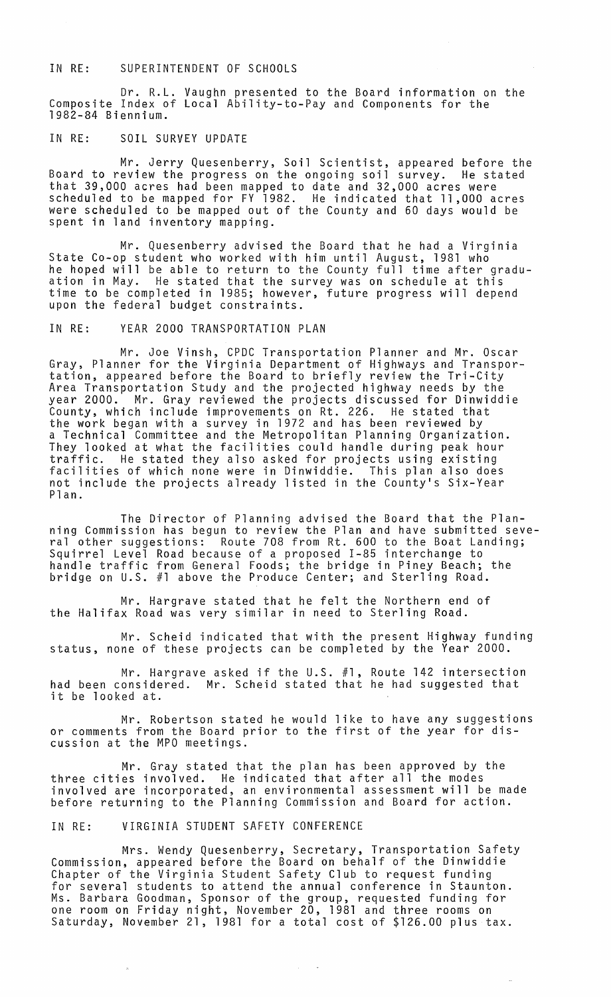#### IN RE: SUPERINTENDENT OF SCHOOLS

Dr. R.L. Vaughn presented to the Board information on the Composite Index of Local Ability-to-Pay and Components for the 1982-84 Biennium.

## IN RE: SOIL SURVEY UPDATE

Mr. Jerry Quesenberry, Soil Scientist, appeared before the Board to review the progress on the ongoing soil survey. He stated that 39,000 acres had been mapped to date and 32,000 acres were scheduled to be mapped for FY 1982. He indicated that 11,000 acres were scheduled to be mapped out of the County and 60 days would be spent in land inventory mapping.

Mr. Quesenberry advised the Board that he had a Virginia State Co-op student who worked with him until August, 1981 who he hoped will be able to return to the County full time after graduation in May. He stated that the survey was on schedule at this time to be completed in 1985; however, future progress will depend upon the federal budget constraints.

# IN RE: YEAR 2000 TRANSPORTATION PLAN

Mr. Joe Vinsh, CPDC Transportation Planner and Mr. Oscar Gray, Planner for the Virginia Department of Highways and Transportation, appeared before the Board to briefly review the Tri-City Area Transportation Study and the projected highway needs by the year 2000. Mr. Gray reviewed the projects discussed for Dinwiddie County, which include improvements on Rt. 226. He stated that the work began with a survey in 1972 and has been reviewed by a Technical Committee and the Metropolitan Planning Organization. They looked at what the facilities could handle during peak hour traffic. He stated they also asked for projects using existing facilities of which none were in Dinwiddie. This plan also does not include the projects already listed in the County's Six-Year Plan.

The Director of Planning advised the Board that the Planning Commission has begun to review the Plan and have submitted several other suggestions: Route 708 from Rt. 600 to the Boat Landing; Squirrel Level Road because of a proposed 1-85 interchange to handle traffic from General Foods; the bridge in Piney Beach; the bridge on U.S. #1 above the Produce Center; and Sterling Road.

Mr. Hargrave stated that he felt the Northern end of the Halifax Road was very similar in need to Sterling Road.

Mr. Scheid indicated that with the present Highway funding status, none of these projects can be completed by the Year 2000.

Mr. Hargrave asked if the U.S. #1, Route 142 intersection had been considered. Mr. Scheid stated that he had suggested that it be looked at.

Mr. Robertson stated he would like to have any suggestions or comments from the Board prior to the first of the year for discussion at the MPO meetings.

Mr. Gray stated that the plan has been approved by the three cities involved. He indicated that after all the modes involved are incorporated, an environmental assessment will be made before returning to the Planning Commission and Board for action.

#### IN RE: VIRGINIA STUDENT SAFETY CONFERENCE

Mrs. Wendy Quesenberry, Secretary, Transportation Safety Commission, appeared before the Board on behalf of the Dinwiddie Chapter of the Virginia Student Safety Club to request funding for several students to attend the annual conference in Staunton. Ms. Barbara Goodman, Sponsor of the group, requested funding for one room on Friday night, November 20, 1981 and three rooms on Saturday, November 21, 1981 for a total cost of \$126.00 plus tax.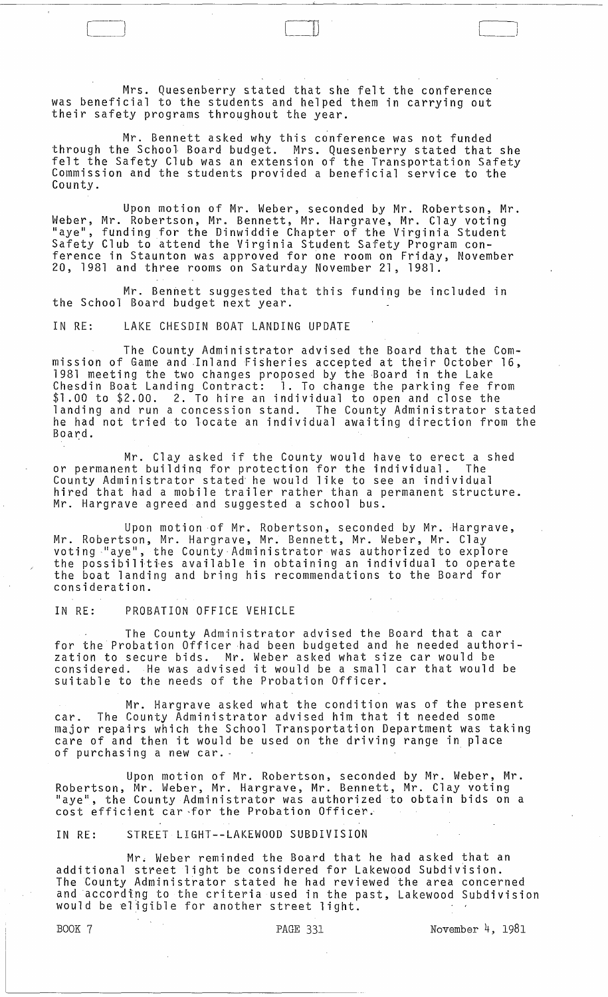Mrs. Quesenberry stated that she felt the conference was beneficial to the students and helped them in carrying out their safety programs throughout the year.

Mr. Bennett asked why this conference was not funded through the School Board budget. Mrs. Quesenberry stated that she felt the Safety Club was an extension of the Transportation Safety Commission and the students provided a beneficial service to the County.

[ --) l

 $\begin{array}{|c|c|c|c|c|}\hline \quad \quad & \quad \quad & \quad \quad & \quad \quad \\ \hline \quad \quad & \quad \quad & \quad \quad & \quad \quad \\ \hline \end{array}$ 

Upon motion of Mr. Weber, seconded by Mr. Robertson, Mr. Weber, Mr. Robertson, Mr. Bennett, Mr. Hargrave, Mr. Clay voting "aye", funding for the Dinwiddie Chapter of the Virginia Student Safety Club to attend the Virginia Student Safety Program conference in Staunton was approved for one room on Friday, November 20, 1981 and three rooms on Saturday November 21, 1981.

Mr. Bennett suggested that this funding be included in the School Board budget next year.

IN RE: LAKE CHESDIN BOAT LANDING UPDATE

The County Administrator advised the Board that the Commission of Game and Inland Fisheries accepted at their October 16, 1981 meeting the two changes proposed by the Board in the Lake Chesdin Boat Landing Contract: 1. To change the parking fee from \$1.00 to \$2.00. 2. To hire an individual to open and close the landing and run a concession stand. The County Administrator stated he had not tried to locate an individual awaiting direction from the Board.

Mr. Clay asked if the County would have to erect a shed or permanent buildinq for protection for the individual. The County Administrator stated- he would like to see an individual hired that had a mobile trailer rather than a permanent structure. Mr. Hargrave agreed and suggested a school bus.

Upon motion of Mr. Robertson, seconded by Mr. Hargrave, Mr. Robertson, Mr. Hargrave, Mr. Bennett, Mr. Weber, Mr. Clay voting naye", the County Administrator was authorized to explore the possibiliti'es available in obtaining an individual to operate the boat landing and bring his recommendations to the Board for consideration.

IN RE: PROBATION OFFICE VEHICLE

The County Administrator advised the Board that a car for the Probation Officer had been budgeted and he needed authorization to secure bids. Mr. Weber asked what size car would be considered. He was advised it would be a small car that would be suitable to the needs of the Probation Officer.

Mr. Hargrave asked what the condition was of the present car. The County Administrator advised him that it needed some major repairs which the School Transportation Department was taking care of and then it would be used on the driving range in place of purchasing a new car.· -

Upon motion of Mr. Robertson, seconded by Mr. Weber, Mr. Robertson, Mr. Weber, Mr. Hargrave, Mr. Bennett, Mr. Clay voting "aye", the County Administrator was authorized to obtain bids on a cost efficient car ·for the Probation Officer.

IN RE: STREET LIGHT--LAKEWOOD SUBDIVISION

Mr. Weber reminded the Board that he had asked that an additional street light be considered for Lakewood Subdivision. The County Administrator stated he had reviewed the area concerned and according to the criteria used in the past, Lakewood Subdivision would be eligible for another street light.

BOOK 7 PAGE 331 November 4, 1981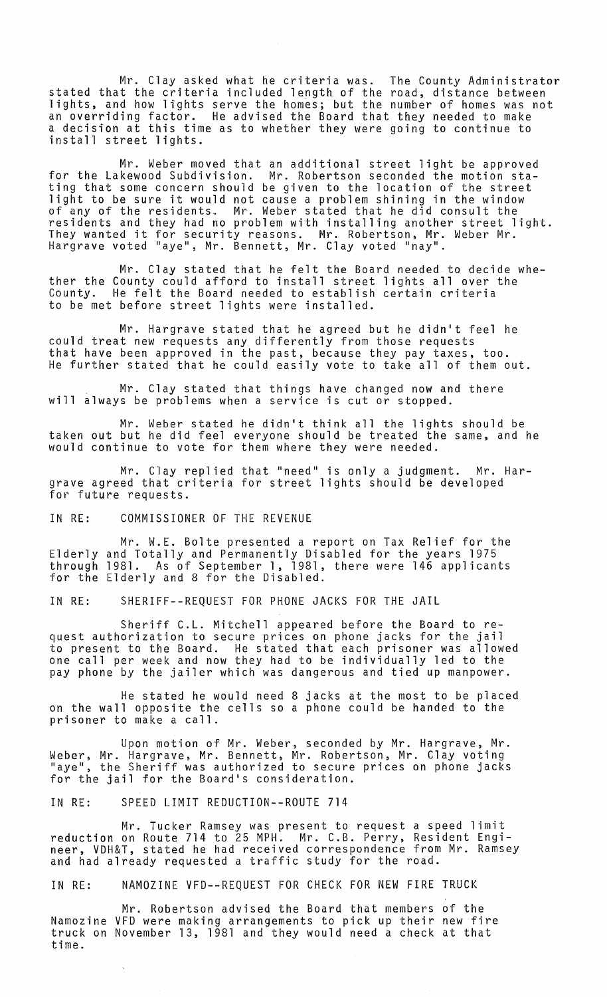Mr. Clay asked what he criteria was. The County Administrator stated that the criteria included length of the road, distance between lights, and how lights serve the homes; but the number of homes was not an overriding factor. He advised the Board that they needed to make a decision at this time as to whether they were going to continue to install street lights.

Mr. Weber *moved* that an additional street light be approved for the Lakewood Subdivision. Mr. Robertson seconded the motion stating that some concern should be *given* to the location of the street light to be sure it would not cause a problem shining in the window of any of the residents. Mr. Weber stated that he did consult the residents and they had no problem with installing another street light. They wanted it for security reasons. Mr. Robertson, Mr. Weber Mr. Hargrave *voted* "aye", Mr. Bennett, Mr. Clay *voted* "nay".

Mr. Clay stated that he felt the Board needed to decide whether the County could afford to install street lights all over the<br>County. He felt the Board needed to establish certain criteria He felt the Board needed to establish certain criteria to be met before street lights were installed.

Mr. Hargrave stated that he agreed but he didn't feel he could treat new requests any differently from those requests that have been approved in the past, because they pay taxes, too. He further stated that he could easily *vote* to take all of them out.

Mr. Clay stated that things have changed now and there will always be problems when a service is cut or stopped.

Mr. Weber stated he didn't think all the lights should be taken out but he did feel everyone should be treated the same, and he would continue to *vote* for them where they were needed.

Mr. Clay replied that "need" is only a judgment. Mr. Hargrave agreed that criteria for street lights should be developed for future requests.

IN RE: COMMISSIONER OF THE REVENUE

Mr. W.E. Bolte presented a report on Tax Relief for the Elderly and Totally and Permanently Disabled for the years 1975 through 1981. As of September 1, 1981, there were 146 applicants for the Elderly and 8 for the Disabled.

IN RE: SHERIFF--REQUEST FOR PHONE JACKS FOR THE JAIL

Sheriff C.L. Mitchell appeared before the Board to request authorization to secure prices on phone jacks for the jail to present to the Board. He stated that each prisoner was allowed one call per week and now they had to be individually led to the pay phone by the jailer which was dangerous and tied up manpower.

He stated he would need 8 jacks at the most to be placed on the wall opposite the cells so a phone could be handed to the prisoner to make a call.

Upon motion of Mr. Weber, seconded by Mr. Hargrave, Mr. Weber, Mr. Hargrave, Mr. Bennett, Mr. Robertson, Mr. Clay voting "aye", the Sheriff was authorized to secure prices on phone jacks for the jail for the Board's consideration.

IN RE: SPEED LIMIT REDUCTION--ROUTE 714

Mr. Tucker Ramsey was present to request a speed limit reduction on Route 714 to 25 MPH. Mr. C.B. Perry, Resident Engineer, VDH&T, stated he had received correspondence from Mr. Ramsey and had already requested a traffic study for the road.

IN RE: NAMOZINE VFD--REQUEST FOR CHECK FOR NEW FIRE TRUCK

Mr. Robertson advised the Board that members of the Namozine VFD were making arrangements to pick up their new fire truck on November 13, 1981 and they would need a check at that time.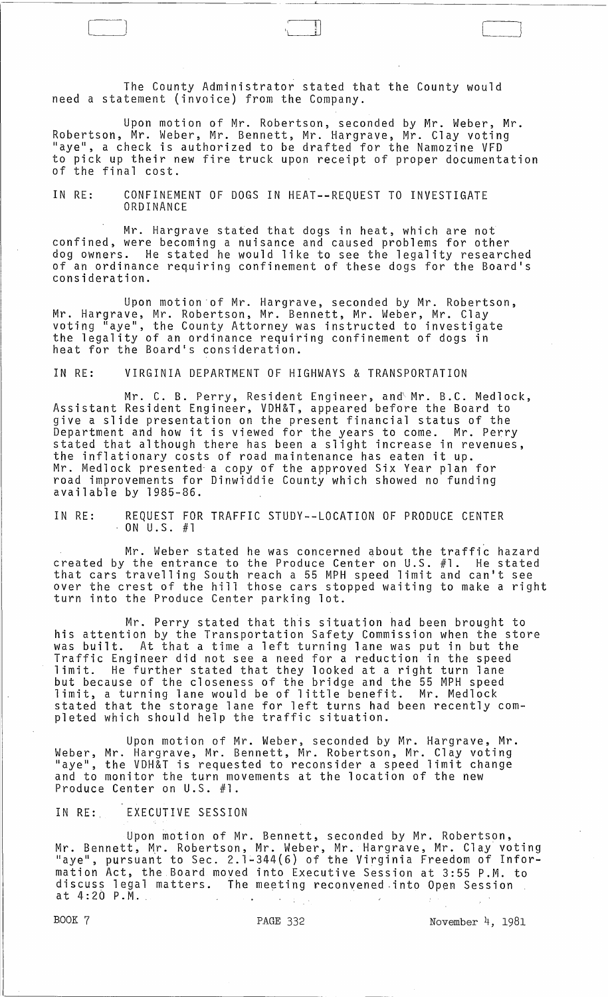The County Administrator stated that the County would need a statement (invoice) from the Company.

Upon motion of Mr. Robertson, seconded by Mr. Weber, Mr. Robertson, Mr. Weber, Mr. Bennett, Mr. Hargrave, Mr. Clay voting "aye", a check is authorized to be drafted for the Namozine VFD to pick up their new fire truck upon receipt of proper documentation of the final cost.

### IN RE: CONFINEMENT OF DOGS IN HEAT--REQUEST TO INVESTIGATE ORDINANCE

Mr. Hargrave stated that dogs in heat, which are not confined, were becoming a nuisance and caused problems for other dog owners. He stated he would like to see the legality researched of an ordinance requiring confinement of these dogs for the Board's consideration.

Upon motion of Mr. Hargrave, seconded by Mr. Robertson, Mr. Hargrave, Mr. Robertson, Mr. Bennett, Mr. Weber, Mr. Clay voting "aye", the County Attorney was instructed to investigate the legality of an ordinance requiring confinement of dogs in heat for the Board's consideration.

IN RE: VIRGINIA DEPARTMENT OF HIGHWAYS & TRANSPORTATION

Mr. C. B. Perry, Resident Engineer, and Mr. B.C. Medlock, Assistant Resident Engineer, VDH&T, appeared before the Board to give a slide presentation on the present financial status of the Department and how it is viewed for the years to come. Mr. Perry stated that although there has been a slight increase in revenues, the inflationary costs of road maintenance has eaten it up. Mr. Medlock presented- a copy of the approved Six Year plan for road improvements for Dinwiddie County which showed no funding available by 1985-86.

IN RE: REQUEST FOR TRAFFIC STUDY--LOCATION OF PRODUCE CENTER  $-$  ON U.S. #1

Mr. Weber stated he was concerned about the traffic hazard created by the entrance to the Produce Center on U.S. #1. He stated that cars travelling South reach a 55 MPH speed limit and can't see over the crest of the hill those cars stopped waiting to make a right turn into the Produce Center parking lot.

Mr. Perry stated that this situation had been brought to his attention by the Transportation Safety Commission when the store was built. At that a time a left turning lane was put in but the Traffic Engineer did not see a need for a reduction in the speed limit. He further stated that they looked at a right turn lane but because of the closeness of the bridge and the 55 MPH speed limit, a turning lane would be of little benefit. Mr. Medlock stated that the storage lane for left turns had been recently completed which should help the traffic situation.

Upon motion of Mr. Weber, seconded by Mr. Hargrave, Mr. Weber, Mr. Hargrave, Mr. Bennett, Mr. Robertson, Mr. Clay voting<br>"aye", the VDH&T is requested to reconsider a speed limit change and to monitor the turn movements at the location of the new Produce Center on U.S. #1.

IN RE: EXECUTIVE SESSION

Upon motion of Mr. Bennett, seconded by Mr. Robertson, Mr. Bennett, Mr. Robertson, Mr. Weber, Mr. Hargrave, Mr. ClaY voting "aye", pursuan't to Sec. 2.1-344(6) of the Virginia Freedom of Information Act, the Board moved into Executive Session at 3:55 P.M. to discuss legal matters. The meeting reconvened -into Open Session at 4:20 P.M.

 $\int$